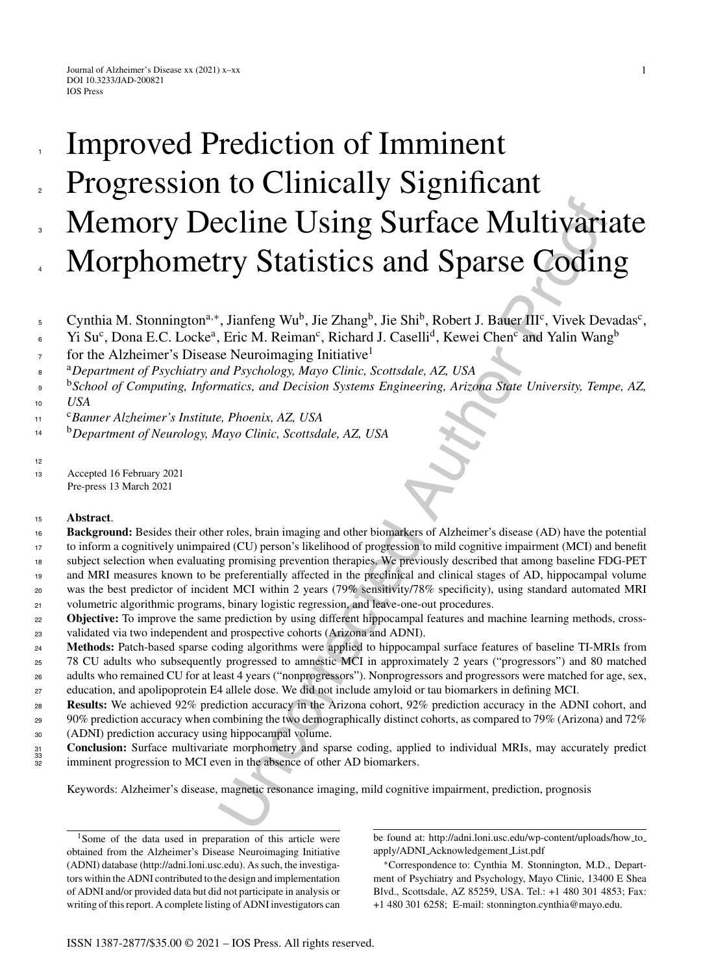# **Example 18 Solution Solution** Surface Multivarianty Statistics and Sparse Codin<br>
Fig. 1, Jianfeng Wu<sup>b</sup>, Jie Zhang<sup>b</sup>, Jie Shi<sup>b</sup>, Robert J. Baffer IIF, Vivek Dev<br>
Eric M. Reiman<sup>s</sup>, Richard J. Caselli<sup>d</sup>, Kewei Chen<sup>c</sup> Improved Prediction of Imminent Progression to Clinically Significant Memory Decline Using Surface Multivariate Morphometry Statistics and Sparse Coding 1 2 3 4

Cynthia M. Stonnington<sup>a,∗</sup>, Jianfeng Wu<sup>b</sup>, Jie Zhang<sup>b</sup>, Jie Shi<sup>b</sup>, Robert J. Bauer III<sup>c</sup>, Vivek Devadas<sup>c</sup>, 5

Yi Su<sup>c</sup>, Dona E.C. Locke<sup>a</sup>, Eric M. Reiman<sup>c</sup>, Richard J. Caselli<sup>d</sup>, Kewei Chen<sup>c</sup> and Yalin Wang<sup>b</sup> 6

for the Alzheimer's Disease Neuroimaging Initiative<sup>1</sup> 7

<sup>a</sup> <sup>8</sup> *Department of Psychiatry and Psychology, Mayo Clinic, Scottsdale, AZ, USA*

<sup>b</sup>*School of Computing, Informatics, and Decision Systems Engineering, Arizona State University, Tempe, AZ, USA*  $\overline{Q}$ 10

<sup>c</sup> <sup>11</sup> *Banner Alzheimer's Institute, Phoenix, AZ, USA*

<sup>b</sup>*Department of Neurology, Mayo Clinic, Scottsdale, AZ, USA* 14

12

<sup>13</sup> Accepted 16 February 2021 Pre-press 13 March 2021

### <sup>15</sup> **Abstract**.

**Background:** Besides their other roles, brain imaging and other biomarkers of Alzheimer's disease (AD) have the potential to inform a cognitively unimpaired (CU) person's likelihood of progression to mild cognitive impairment (MCI) and benefit 16

17

subject selection when evaluating promising prevention therapies. We previously described that among baseline FDG-PET and MRI measures known to be preferentially affected in the preclinical and clinical stages of AD, hippocampal volume 18 19

was the best predictor of incident MCI within 2 years (79% sensitivity/78% specificity), using standard automated MRI volumetric algorithmic programs, binary logistic regression, and leave-one-out procedures. 20 21

**Objective:** To improve the same prediction by using different hippocampal features and machine learning methods, crossvalidated via two independent and prospective cohorts (Arizona and ADNI). 22 23

**Methods:** Patch-based sparse coding algorithms were applied to hippocampal surface features of baseline TI-MRIs from 78 CU adults who subsequently progressed to amnestic MCI in approximately 2 years ("progressors") and 80 matched adults who remained CU for at least 4 years ("nonprogressors"). Nonprogressors and progressors were matched for age, sex,  $24$ 25 26

education, and apolipoprotein E4 allele dose. We did not include amyloid or tau biomarkers in defining MCI. 27

**Results:** We achieved 92% prediction accuracy in the Arizona cohort, 92% prediction accuracy in the ADNI cohort, and 90% prediction accuracy when combining the two demographically distinct cohorts, as compared to 79% (Arizona) and 72% (ADNI) prediction accuracy using hippocampal volume. 28 29 30

**Conclusion:** Surface multivariate morphometry and sparse coding, applied to individual MRIs, may accurately predict imminent progression to MCI even in the absence of other AD biomarkers. 31 32 33

Keywords: Alzheimer's disease, magnetic resonance imaging, mild cognitive impairment, prediction, prognosis

<sup>1</sup>Some of the data used in preparation of this article were obtained from the Alzheimer's Disease Neuroimaging Initiative (ADNI) database [\(http://adni.loni.usc.edu\)](http://adni.loni.usc.edu). As such, the investigators within the ADNI contributed to the design and implementation of ADNI and/or provided data but did not participate in analysis or writing of this report. A complete listing of ADNI investigators can be found at: [http://adni.loni.usc.edu/wp-content/uploads/how](http://adni.loni.usc.edu/wp-content/uploads/how_to_apply/ADNI_Acknowledgement_List.pdf) to apply/ADNI Acknowledgement List.pdf

∗Correspondence to: Cynthia M. Stonnington, M.D., Department of Psychiatry and Psychology, Mayo Clinic, 13400 E Shea Blvd., Scottsdale, AZ 85259, USA. Tel.: +1 480 301 4853; Fax: +1 480 301 6258; E-mail: [stonnington.cynthia@mayo.edu.](mailto:stonnington.cynthia@mayo.edu)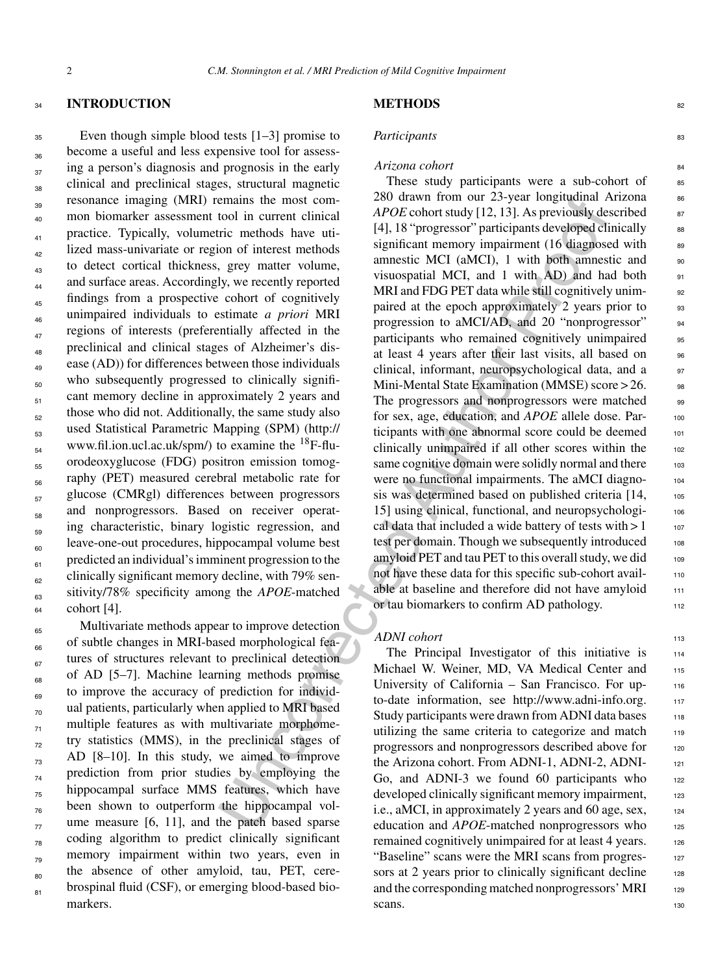#### <sup>34</sup> **INTRODUCTION**

<sup>35</sup> Even though simple blood tests [1–3] promise to become a useful and less expensive tool for assess- $\frac{1}{37}$  ing a person's diagnosis and prognosis in the early <sub>38</sub> clinical and preclinical stages, structural magnetic resonance imaging (MRI) remains the most com-<sup>40</sup> mon biomarker assessment tool in current clinical <sub>41</sub> practice. Typically, volumetric methods have uti- $\mu$ <sub>42</sub> lized mass-univariate or region of interest methods <sub>43</sub> to detect cortical thickness, grey matter volume, and surface areas. Accordingly, we recently reported  $f_{45}$  findings from a prospective cohort of cognitively unimpaired individuals to estimate *a priori* MRI <sup>46</sup> regions of interests (preferentially affected in the  $_{48}$  preclinical and clinical stages of Alzheimer's disease (AD)) for differences between those individuals  $\epsilon$ <sub>50</sub> who subsequently progressed to clinically signifi- $_{51}$  cant memory decline in approximately 2 years and  $\frac{1}{52}$  those who did not. Additionally, the same study also used Statistical Parametric Mapping (SPM) (http:// www.fil.ion.ucl.ac.uk/spm/) to examine the  $^{18}$ F-flu- $\epsilon$ <sub>55</sub> orodeoxyglucose (FDG) positron emission tomography (PET) measured cerebral metabolic rate for  $_{57}$  glucose (CMRgl) differences between progressors  $\epsilon_{\rm ss}$  and nonprogressors. Based on receiver operat- $\epsilon_{59}$  ing characteristic, binary logistic regression, and  $\epsilon$ <sup>60</sup> leave-one-out procedures, hippocampal volume best  $_{61}$  predicted an individual's imminent progression to the  $_{62}$  clinically significant memory decline, with 79% sensitivity/78% specificity among the *APOE*-matched <sup>64</sup> cohort [4].

Multivariate methods appear to improve detection <sub>66</sub> of subtle changes in MRI-based morphological fea- $\epsilon$ <sub>67</sub> tures of structures relevant to preclinical detection  $_{68}$  of AD [5–7]. Machine learning methods promise  $_{69}$  to improve the accuracy of prediction for individ- $_{70}$  ual patients, particularly when applied to MRI based  $_{71}$  multiple features as with multivariate morphome- $_{72}$  try statistics (MMS), in the preclinical stages of  $_{73}$  AD [8–10]. In this study, we aimed to improve  $_{74}$  prediction from prior studies by employing the <sub>75</sub> hippocampal surface MMS features, which have  $_{76}$  been shown to outperform the hippocampal vol- $\pi$  ume measure [6, 11], and the patch based sparse  $_{78}$  coding algorithm to predict clinically significant  $\frac{1}{28}$  memory impairment within two years, even in  $_{80}$  the absence of other amyloid, tau, PET, cere- $_{81}$  brospinal fluid (CSF), or emerging blood-based biomarkers.

# **METHODS** 82

# *Participants* 83

# *Arizona cohort* 84

emains [th](http://www.fil.ion.ucl.ac.uk/spm/)e most com-<br>
as the most continuum at  $2x$ -year ioninum at  $2x$ -year ioninum at  $2x$ -year ioninum at  $2x$ -year ioninum at  $4PDE$  contors sugging the methods have uti-<br>
five methods have uti-<br>
five methods have uti These study participants were a sub-cohort of  $\qquad$  $280$  drawn from our 23-year longitudinal Arizona  $86$ *APOE* cohort study [12, 13]. As previously described  $\frac{87}{2}$ [4], 18 "progressor" participants developed clinically ss significant memory impairment  $(16 \text{ diagnosed with} \cdot \text{se}$ amnestic MCI (aMCI),  $1$  with both amnestic and  $90$ visuospatial MCI, and 1 with AD) and had both  $_{91}$ MRI and FDG PET data while still cognitively unim-<br>92 paired at the epoch approximately 2 years prior to 93 progression to aMCI/AD, and 20 "nonprogressor" 94 participants who remained cognitively unimpaired 95 at least 4 years after their last visits, all based on 96 clinical, informant, neuropsychological data, and a 97 Mini-Mental State Examination (MMSE) score > 26. The progressors and nonprogressors were matched 99 for sex, age, education, and *APOE* allele dose. Participants with one abnormal score could be deemed 101 clinically unimpaired if all other scores within the 102 same cognitive domain were solidly normal and there 103 were no functional impairments. The aMCI diagnosis was determined based on published criteria [14, 105 15] using clinical, functional, and neuropsychologi- <sup>106</sup> cal data that included a wide battery of tests with  $> 1$  107 test per domain. Though we subsequently introduced 108 amyloid PET and tau PET to this overall study, we did 109 not have these data for this specific sub-cohort available at baseline and therefore did not have amyloid 111 or tau biomarkers to confirm AD pathology.

#### *ADNI cohort* 113

The Principal Investigator of this initiative is 114 Michael W. Weiner, MD, VA Medical Center and 115 University of California – San Francisco. For upto-date information, see [http://www.adni-info.org.](http://www.adni-info.org) 117 Study participants were drawn from ADNI data bases 118 utilizing the same criteria to categorize and match 119 progressors and nonprogressors described above for 120 the Arizona cohort. From ADNI-1, ADNI-2, ADNI-Go, and ADNI-3 we found 60 participants who  $122$ developed clinically significant memory impairment, 123 i.e., aMCI, in approximately 2 years and 60 age, sex,  $124$ education and *APOE*-matched nonprogressors who 125 remained cognitively unimpaired for at least 4 years. 126 "Baseline" scans were the MRI scans from progressors at 2 years prior to clinically significant decline  $128$ and the corresponding matched nonprogressors' MRI 129 scans. 130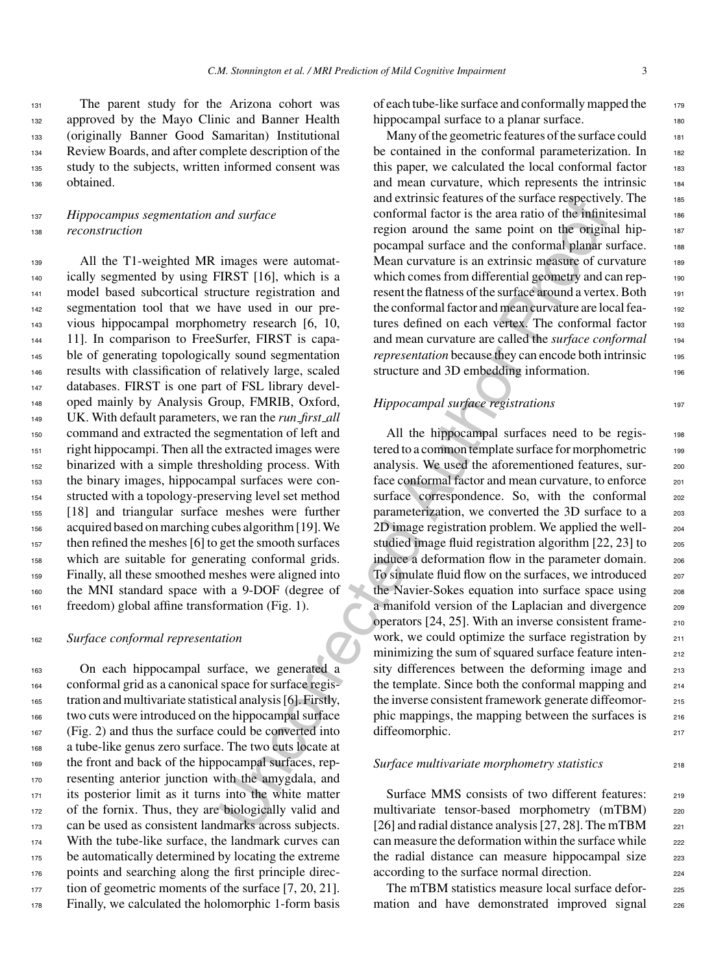The parent study for the Arizona cohort was 132 approved by the Mayo Clinic and Banner Health (originally Banner Good Samaritan) Institutional Review Boards, and after complete description of the study to the subjects, written informed consent was obtained.

# <sup>137</sup> *Hippocampus segmentation and surface* <sup>138</sup> *reconstruction*

 All the T1-weighted MR images were automat- ically segmented by using FIRST [16], which is a model based subcortical structure registration and segmentation tool that we have used in our pre- vious hippocampal morphometry research [6, 10, 11]. In comparison to FreeSurfer, FIRST is capa- ble of generating topologically sound segmentation results with classification of relatively large, scaled databases. FIRST is one part of FSL library devel- oped mainly by Analysis Group, FMRIB, Oxford, UK. With default parameters, we ran the *run first all* command and extracted the segmentation of left and right hippocampi. Then all the extracted images were binarized with a simple thresholding process. With the binary images, hippocampal surfaces were con- structed with a topology-preserving level set method [18] and triangular surface meshes were further acquired based on marching cubes algorithm [19]. We then refined the meshes [6] to get the smooth surfaces which are suitable for generating conformal grids. Finally, all these smoothed meshes were aligned into the MNI standard space with a 9-DOF (degree of freedom) global affine transformation (Fig. 1).

### <sup>162</sup> *Surface conformal representation*

 On each hippocampal surface, we generated a conformal grid as a canonical space for surface regis- tration and multivariate statistical analysis [6]. Firstly, two cuts were introduced on the hippocampal surface (Fig. 2) and thus the surface could be converted into a tube-like genus zero surface. The two cuts locate at the front and back of the hippocampal surfaces, rep- resenting anterior junction with the amygdala, and its posterior limit as it turns into the white matter of the fornix. Thus, they are biologically valid and can be used as consistent landmarks across subjects. 174 With the tube-like surface, the landmark curves can <sub>175</sub> be automatically determined by locating the extreme points and searching along the first principle direc-177 tion of geometric moments of the surface [7, 20, 21]. Finally, we calculated the holomorphic 1-form basis

of each tube-like surface and conformally mapped the 179 hippocampal surface to a planar surface.

Many of the geometric features of the surface could 181 be contained in the conformal parameterization. In 182 this paper, we calculated the local conformal factor  $183$ and mean curvature, which represents the intrinsic 184 and extrinsic features of the surface respectively. The 185 conformal factor is the area ratio of the infinitesimal 186 region around the same point on the original hippocampal surface and the conformal planar surface. 188 Mean curvature is an extrinsic measure of curvature 189 which comes from differential geometry and can represent the flatness of the surface around a vertex. Both <sup>191</sup> the conformal factor and mean curvature are local features defined on each vertex. The conformal factor 193 and mean curvature are called the *surface conformal* <sup>194</sup> *representation* because they can encode both intrinsic 195 structure and 3D embedding information.

# *Hippocampal surface registrations* 197

and surface<br>
and starface<br>
and startings cleanters of the surface respective<br>
orofformal factor is the ane point on the origin<br>
region around the same point on the original<br>
images were automorical<br>
posampal surface and t All the hippocampal surfaces need to be regis-<br>198 tered to a common template surface for morphometric 199 analysis. We used the aforementioned features, surface conformal factor and mean curvature, to enforce <sub>201</sub> surface correspondence. So, with the conformal 202 parameterization, we converted the 3D surface to a 203 2D image registration problem. We applied the well- 204 studied image fluid registration algorithm [22, 23] to 205 induce a deformation flow in the parameter domain. 206 To simulate fluid flow on the surfaces, we introduced <sup>207</sup> the Navier-Sokes equation into surface space using 208 a manifold version of the Laplacian and divergence 209 operators [24, 25]. With an inverse consistent frame- <sup>210</sup> work, we could optimize the surface registration by 211 minimizing the sum of squared surface feature inten-<br>212 sity differences between the deforming image and 213 the template. Since both the conformal mapping and  $_{214}$ the inverse consistent framework generate diffeomor-<br>215 phic mappings, the mapping between the surfaces is 216 diffeomorphic. 217

## *Surface multivariate morphometry statistics* <sup>218</sup>

Surface MMS consists of two different features: 219 multivariate tensor-based morphometry (mTBM) 220 [26] and radial distance analysis [27, 28]. The mTBM  $_{221}$ can measure the deformation within the surface while 222 the radial distance can measure hippocampal size 223 according to the surface normal direction.

The mTBM statistics measure local surface defor-<br>225 mation and have demonstrated improved signal 226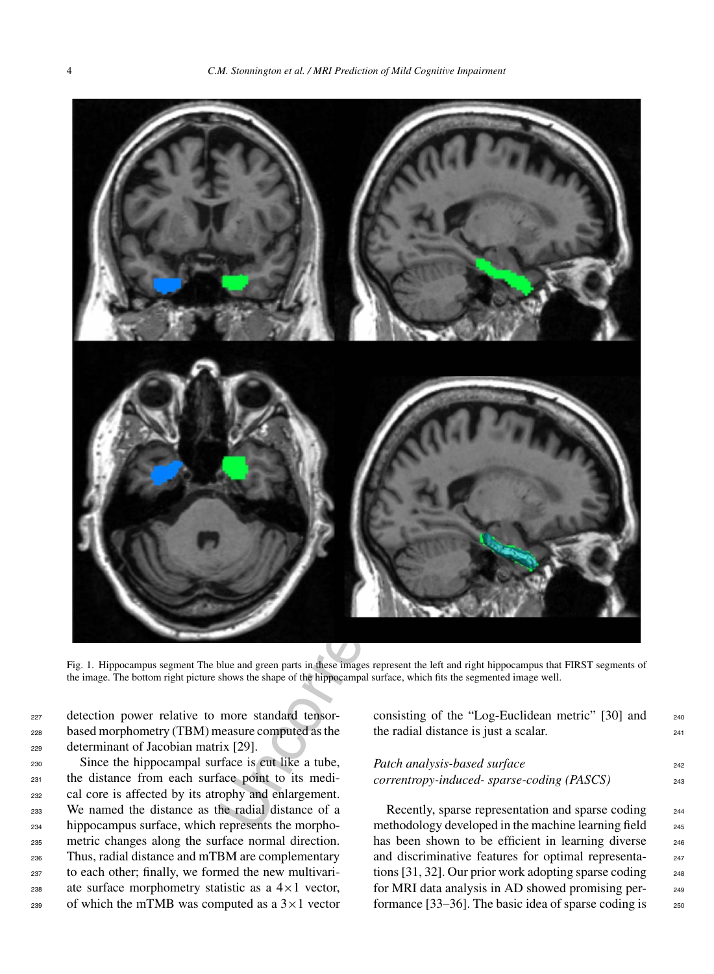

Fig. 1. Hippocampus segment The blue and green parts in these images represent the left and right hippocampus that FIRST segments of the image. The bottom right picture shows the shape of the hippocampal surface, which fits the segmented image well.

<sup>227</sup> detection power relative to more standard tensor-<sup>228</sup> based morphometry (TBM) measure computed as the <sup>229</sup> determinant of Jacobian matrix [29].

 Since the hippocampal surface is cut like a tube, the distance from each surface point to its medi- cal core is affected by its atrophy and enlargement. We named the distance as the radial distance of a hippocampus surface, which represents the morpho- metric changes along the surface normal direction. Thus, radial distance and mTBM are complementary to each other; finally, we formed the new multivari-238 ate surface morphometry statistic as a  $4 \times 1$  vector, 239 of which the mTMB was computed as a  $3 \times 1$  vector consisting of the "Log-Euclidean metric" [30] and <sup>240</sup> the radial distance is just a scalar.

# *Patch analysis-based surface* 242 *correntropy-induced- sparse-coding (PASCS)* <sup>243</sup>

Recently, sparse representation and sparse coding 244 methodology developed in the machine learning field <sub>245</sub> has been shown to be efficient in learning diverse 246 and discriminative features for optimal representa- <sup>247</sup> tions  $[31, 32]$ . Our prior work adopting sparse coding  $248$ for MRI data analysis in AD showed promising per-<br><sub>249</sub> formance [33–36]. The basic idea of sparse coding is  $250$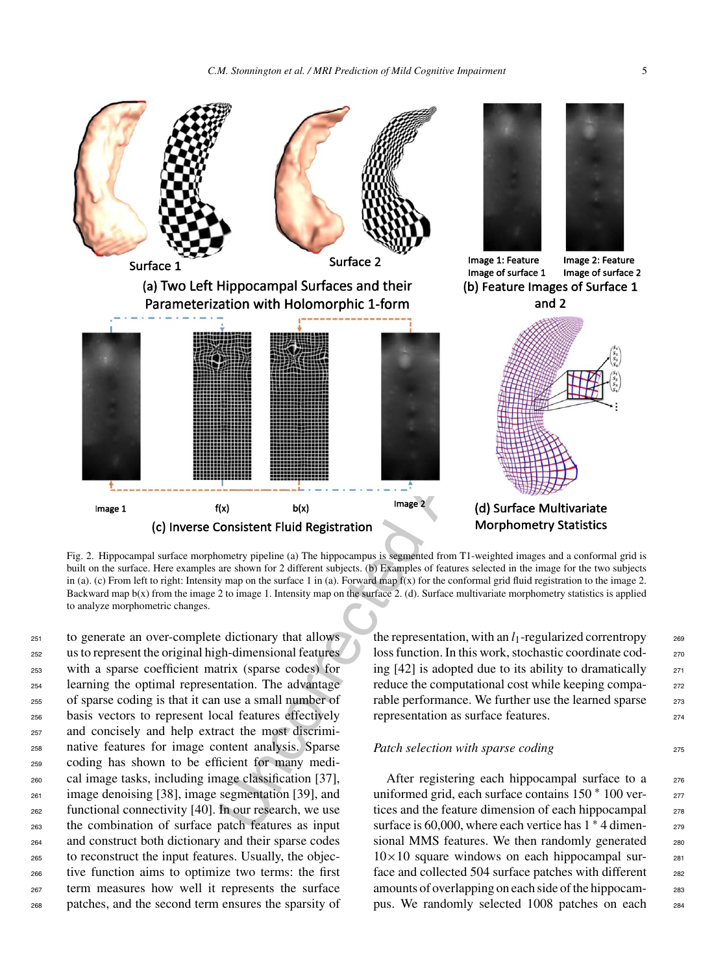

Fig. 2. Hippocampal surface morphometry pipeline (a) The hippocampus is segmented from T1-weighted images and a conformal grid is built on the surface. Here examples are shown for 2 different subjects. (b) Examples of features selected in the image for the two subjects in (a). (c) From left to right: Intensity map on the surface 1 in (a). Forward map f(x) for the conformal grid fluid registration to the image 2. Backward map b(x) from the image 2 to image 1. Intensity map on the surface 2. (d). Surface multivariate morphometry statistics is applied to analyze morphometric changes.

 to generate an over-complete dictionary that allows us to represent the original high-dimensional features with a sparse coefficient matrix (sparse codes) for learning the optimal representation. The advantage of sparse coding is that it can use a small number of basis vectors to represent local features effectively and concisely and help extract the most discrimi- native features for image content analysis. Sparse coding has shown to be efficient for many medi- cal image tasks, including image classification [37], image denoising [38], image segmentation [39], and functional connectivity [40]. In our research, we use the combination of surface patch features as input and construct both dictionary and their sparse codes to reconstruct the input features. Usually, the objec- tive function aims to optimize two terms: the first term measures how well it represents the surface patches, and the second term ensures the sparsity of the representation, with an  $l_1$ -regularized correntropy  $\qquad$  269 loss function. In this work, stochastic coordinate coding  $[42]$  is adopted due to its ability to dramatically  $271$ reduce the computational cost while keeping comparable performance. We further use the learned sparse 273 representation as surface features. 274

#### *Patch selection with sparse coding* 275

After registering each hippocampal surface to a  $276$ uniformed grid, each surface contains 150 ∗ 100 ver- <sup>277</sup> tices and the feature dimension of each hippocampal 278 surface is 60,000, where each vertice has  $1 * 4$  dimensional MMS features. We then randomly generated 280  $10\times10$  square windows on each hippocampal surface and collected 504 surface patches with different 282 amounts of overlapping on each side of the hippocampus. We randomly selected 1008 patches on each <sup>284</sup>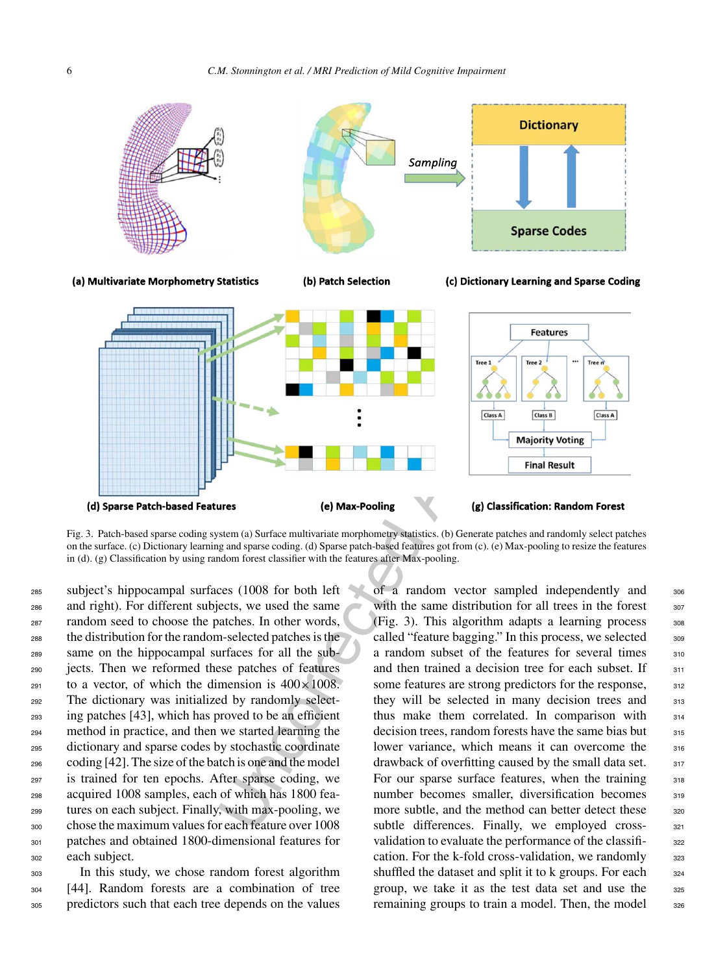

Fig. 3. Patch-based sparse coding system (a) Surface multivariate morphometry statistics. (b) Generate patches and randomly select patches on the surface. (c) Dictionary learning and sparse coding. (d) Sparse patch-based features got from (c). (e) Max-pooling to resize the features in (d). (g) Classification by using random forest classifier with the features after Max-pooling.

 subject's hippocampal surfaces (1008 for both left and right). For different subjects, we used the same random seed to choose the patches. In other words, the distribution for the random-selected patches is the same on the hippocampal surfaces for all the sub- jects. Then we reformed these patches of features to a vector, of which the dimension is  $400 \times 1008$ . The dictionary was initialized by randomly select- ing patches [43], which has proved to be an efficient method in practice, and then we started learning the dictionary and sparse codes by stochastic coordinate coding [42]. The size of the batch is one and the model is trained for ten epochs. After sparse coding, we acquired 1008 samples, each of which has 1800 fea- tures on each subject. Finally, with max-pooling, we chose the maximum values for each feature over 1008 patches and obtained 1800-dimensional features for each subject.

 In this study, we chose random forest algorithm [44]. Random forests are a combination of tree predictors such that each tree depends on the values

of a random vector sampled independently and <sup>306</sup> with the same distribution for all trees in the forest (Fig. 3). This algorithm adapts a learning process 308 called "feature bagging." In this process, we selected  $\qquad$  309 a random subset of the features for several times 310 and then trained a decision tree for each subset. If some features are strong predictors for the response, they will be selected in many decision trees and 313 thus make them correlated. In comparison with <sup>314</sup> decision trees, random forests have the same bias but 315 lower variance, which means it can overcome the 316 drawback of overfitting caused by the small data set. For our sparse surface features, when the training 318 number becomes smaller, diversification becomes 319 more subtle, and the method can better detect these 320 subtle differences. Finally, we employed cross- 321 validation to evaluate the performance of the classifi-<br>322 cation. For the k-fold cross-validation, we randomly shuffled the dataset and split it to k groups. For each group, we take it as the test data set and use the 325 remaining groups to train a model. Then, the model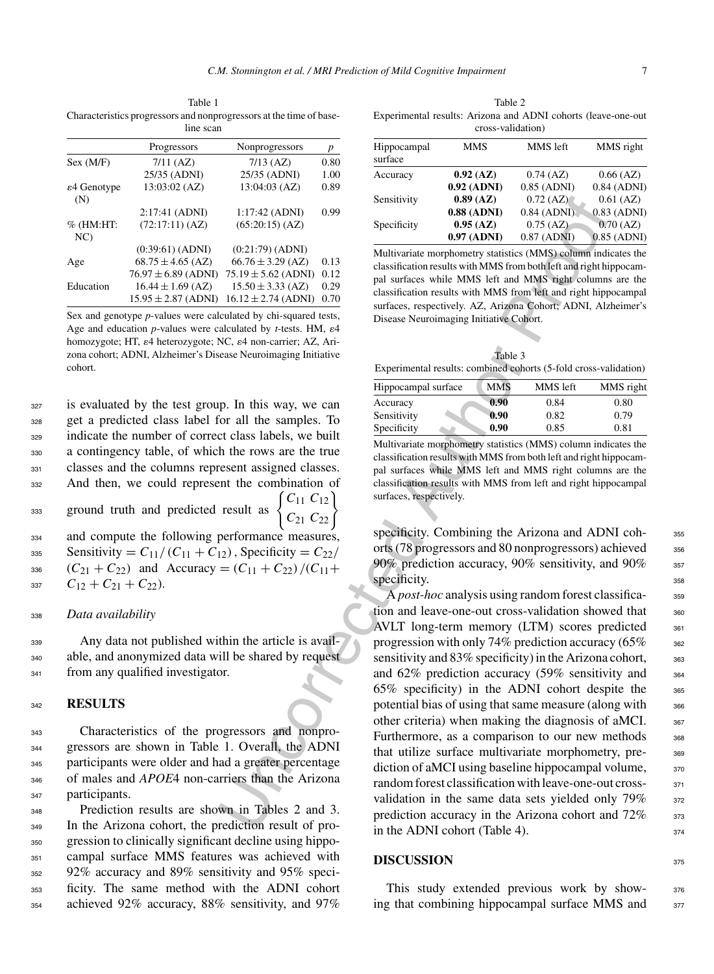Table 1 Characteristics progressors and nonprogressors at the time of baseline scan

|                                 | Progressors             | Nonprogressors          | p    |
|---------------------------------|-------------------------|-------------------------|------|
| Sex (M/F)                       | $7/11$ (AZ)             | $7/13$ (AZ)             | 0.80 |
|                                 | 25/35 (ADNI)            | 25/35 (ADNI)            | 1.00 |
| $\varepsilon$ 4 Genotype<br>(N) | 13:03:02 (AZ)           | 13:04:03 (AZ)           | 0.89 |
|                                 | 2:17:41 (ADNI)          | 1:17:42 (ADNI)          | 0.99 |
| $%$ (HM:HT:<br>NC               | (72:17:11) (AZ)         | (65:20:15) (AZ)         |      |
|                                 | $(0:39:61)$ (ADNI)      | (0:21:79) (ADNI)        |      |
| Age                             | $68.75 \pm 4.65$ (AZ)   | $66.76 \pm 3.29$ (AZ)   | 0.13 |
|                                 | $76.97 \pm 6.89$ (ADNI) | $75.19 \pm 5.62$ (ADNI) | 0.12 |
| Education                       | $16.44 \pm 1.69$ (AZ)   | $15.50 \pm 3.33$ (AZ)   | 0.29 |
|                                 | $15.95 \pm 2.87$ (ADNI) | $16.12 \pm 2.74$ (ADNI) | 0.70 |

Sex and genotype *p*-values were calculated by chi-squared tests, Age and education  $p$ -values were calculated by  $t$ -tests. HM,  $\varepsilon$ 4 homozygote; HT,  $\varepsilon$ 4 heterozygote; NC,  $\varepsilon$ 4 non-carrier; AZ, Arizona cohort; ADNI, Alzheimer's Disease Neuroimaging Initiative cohort.

 is evaluated by the test group. In this way, we can get a predicted class label for all the samples. To indicate the number of correct class labels, we built a contingency table, of which the rows are the true classes and the columns represent assigned classes. And then, we could represent the combination of

ground truth and predicted result as 333

 $C_{11} C_{12}$  $C_{21} C_{22}$ 

 and compute the following performance measures,  $s_{335}$  Sensitivity =  $C_{11}/(C_{11} + C_{12})$ , Specificity =  $C_{22}/$  $(C_{21} + C_{22})$  and Accuracy =  $(C_{11} + C_{22}) / (C_{11} + C_{22})$  $C_{12} + C_{21} + C_{22}$ .

#### <sup>338</sup> *Data availability*

<sup>339</sup> Any data not published within the article is avail-<sup>340</sup> able, and anonymized data will be shared by request 341 from any qualified investigator.

#### <sup>342</sup> **RESULTS**

 Characteristics of the progressors and nonpro- gressors are shown in Table 1. Overall, the ADNI participants were older and had a greater percentage of males and *APOE*4 non-carriers than the Arizona participants.

 Prediction results are shown in Tables 2 and 3. In the Arizona cohort, the prediction result of pro- gression to clinically significant decline using hippo- campal surface MMS features was achieved with 92% accuracy and 89% sensitivity and 95% speci- ficity. The same method with the ADNI cohort achieved 92% accuracy, 88% sensitivity, and 97%

Table 2 Experimental results: Arizona and ADNI cohorts (leave-one-out cross-validation)

| Hippocampal<br>surface | <b>MMS</b>    | MMS left      | MMS right     |
|------------------------|---------------|---------------|---------------|
| Accuracy               | 0.92(AZ)      | $0.74$ (AZ)   | $0.66$ (AZ)   |
|                        | $0.92$ (ADNI) | $0.85$ (ADNI) | $0.84$ (ADNI) |
| Sensitivity            | 0.89(AZ)      | $0.72$ (AZ)   | $0.61$ (AZ)   |
|                        | $0.88$ (ADNI) | $0.84$ (ADNI) | $0.83$ (ADNI) |
| Specificity            | 0.95(AZ)      | $0.75$ (AZ)   | $0.70$ (AZ)   |
|                        | $0.97$ (ADNI) | $0.87$ (ADNI) | $0.85$ (ADNI) |

Multivariate morphometry statistics (MMS) column indicates the classification results with MMS from both left and right hippocampal surfaces while MMS left and MMS right columns are the classification results with MMS from left and right hippocampal surfaces, respectively. AZ, Arizona Cohort; ADNI, Alzheimer's Disease Neuroimaging Initiative Cohort.

|                                                                  | Table 3 |          |           |  |
|------------------------------------------------------------------|---------|----------|-----------|--|
| Experimental results: combined cohorts (5-fold cross-validation) |         |          |           |  |
| Hippocampal surface                                              | MMS     | MMS left | MMS right |  |
| Accuracy                                                         | 0.90    | 0.84     | 0.80      |  |
| Sensitivity                                                      | 0.90    | 0.82     | 0.79      |  |
| Specificity                                                      | 0.90    | 0.85     | 0.81      |  |

Multivariate morphometry statistics (MMS) column indicates the classification results with MMS from both left and right hippocampal surfaces while MMS left and MMS right columns are the classification results with MMS from left and right hippocampal surfaces, respectively.

specificity. Combining the Arizona and ADNI coh-<br>355 orts (78 progressors and 80 nonprogressors) achieved  $356$ 90% prediction accuracy, 90% sensitivity, and 90% 357 specificity. 358

1:17:42 (ADNI) 0.99<br>
(65:201:59) (AZ) 0.99<br>
(68:47) 0.97 (AZ) 0.97 (AZ) 0.97 (AZ) 0.97<br>
(65:21:59) (ADNI) 0.97<br>
(67:21:79) (ADNI) 0.97<br>
(67:21:79) (ADNI) 0.97<br>
(67:21:79) (ADNI) 0.97<br>
(67:21:79) (ADNI) 0.97<br>
(67:21:79) (A A *post-hoc* analysis using random forest classifica-<br>359 tion and leave-one-out cross-validation showed that 360 AVLT long-term memory (LTM) scores predicted 361 progression with only 74% prediction accuracy  $(65\%$  362 sensitivity and  $83\%$  specificity) in the Arizona cohort,  $\frac{363}{2}$ and  $62\%$  prediction accuracy  $(59\%$  sensitivity and  $364$ 65% specificity) in the ADNI cohort despite the  $365$ potential bias of using that same measure (along with  $366$ other criteria) when making the diagnosis of aMCI.  $367$ Furthermore, as a comparison to our new methods  $368$ that utilize surface multivariate morphometry, pre-<br>s69 diction of aMCI using baseline hippocampal volume,  $370$ random forest classification with leave-one-out cross-  $371$ validation in the same data sets yielded only 79% 372 prediction accuracy in the Arizona cohort and  $72\%$  373 in the ADNI cohort (Table 4).  $374$ 

#### **DISCUSSION** <sup>375</sup>

This study extended previous work by show-<br>376 ing that combining hippocampal surface MMS and 377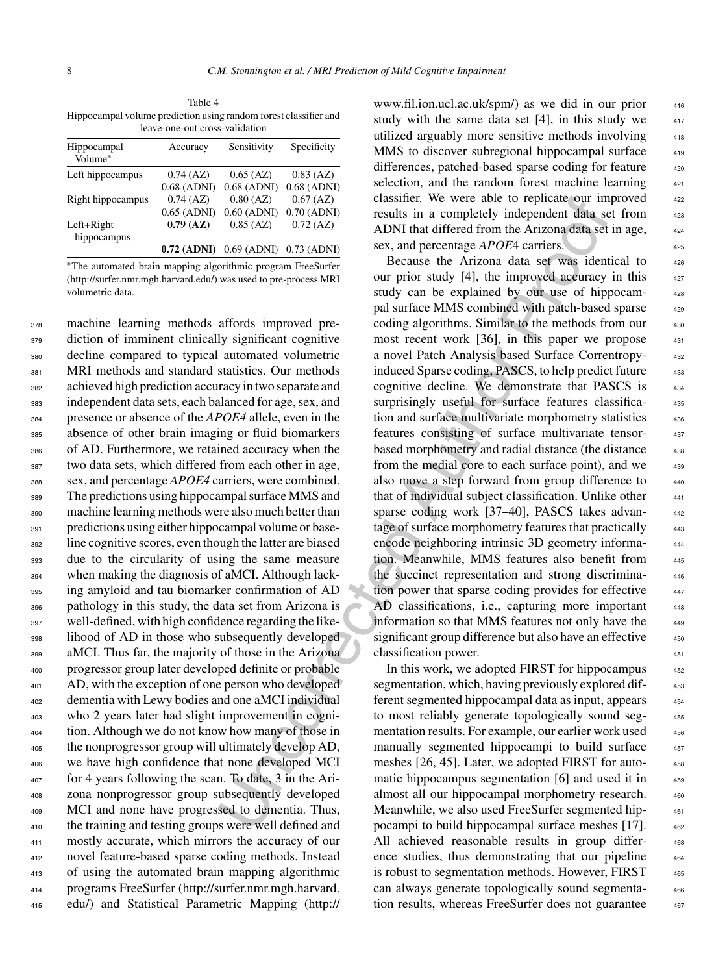Table 4 Hippocampal volume prediction using random forest classifier and leave-one-out cross-validation

| Hippocampal<br>Volume*    | Accuracy      | Sensitivity   | Specificity   |
|---------------------------|---------------|---------------|---------------|
| Left hippocampus          | $0.74$ (AZ)   | $0.65$ (AZ)   | $0.83$ (AZ)   |
|                           | $0.68$ (ADNI) | $0.68$ (ADNI) | $0.68$ (ADNI) |
| Right hippocampus         | $0.74$ (AZ)   | $0.80$ (AZ)   | $0.67$ (AZ)   |
|                           | $0.65$ (ADNI) | $0.60$ (ADNI) | $0.70$ (ADNI) |
| Left+Right<br>hippocampus | 0.79(AZ)      | $0.85$ (AZ)   | $0.72$ (AZ)   |
|                           | $0.72$ (ADNI) | $0.69$ (ADNI) | $0.73$ (ADNI) |

∗The automated brain mapping algorithmic program FreeSurfer (<http://surfer.nmr.mgh.harvard.edu/>) was used to pre-process MRI volumetric data.

 machine learning methods affords improved pre- diction of imminent clinically significant cognitive decline compared to typical automated volumetric MRI methods and standard statistics. Our methods achieved high prediction accuracy in two separate and independent data sets, each balanced for age, sex, and presence or absence of the *APOE4* allele, even in the absence of other brain imaging or fluid biomarkers of AD. Furthermore, we retained accuracy when the two data sets, which differed from each other in age, sex, and percentage *APOE4* carriers, were combined. The predictions using hippocampal surface MMS and machine learning methods were also much better than predictions using either hippocampal volume or base- line cognitive scores, even though the latter are biased due to the circularity of using the same measure when making the diagnosis of aMCI. Although lack- ing amyloid and tau biomarker confirmation of AD pathology in this study, the data set from Arizona is well-defined, with high confidence regarding the like- lihood of AD in those who subsequently developed aMCI. Thus far, the majority of those in the Arizona progressor group later developed definite or probable AD, with the exception of one person who developed dementia with Lewy bodies and one aMCI individual who 2 years later had slight improvement in cogni- tion. Although we do not know how many of those in the nonprogressor group will ultimately develop AD, we have high confidence that none developed MCI for 4 years following the scan. To date, 3 in the Ari- zona nonprogressor group subsequently developed MCI and none have progressed to dementia. Thus, the training and testing groups were well defined and mostly accurate, which mirrors the accuracy of our novel feature-based sparse coding methods. Instead of using the automated brain mapping algorithmic programs FreeSurfer [\(http://surfer.nmr.mgh.harvard.](http://surfer.nmr.mgh.harvard.edu/) edu/) and Statistical Parametric Mapping (http://

www.fil.ion.ucl.ac.uk/spm/) as we did in our prior <sup>416</sup> study with the same data set  $[4]$ , in this study we utilized arguably more sensitive methods involving MMS to discover subregional hippocampal surface differences, patched-based sparse coding for feature selection, and the random forest machine learning classifier. We were able to replicate our improved results in a completely independent data set from ADNI that differed from the Arizona data set in age, sex, and percentage *APOE*4 carriers. 425

0.80 (AZC) of  $Z$  (1880) (427) class the r we we able to replicate or unit<br>
0.60 (ADN) 0.76 (ADN) results in a completely independent data, se<br>
0.60 (ADN) 0.76 (ADN) results in a completely independent data, se<br>
0.85 (AZ) Because the Arizona data set was identical to  $426$ our prior study  $[4]$ , the improved accuracy in this  $427$ study can be explained by our use of hippocampal surface MMS combined with patch-based sparse 429 coding algorithms. Similar to the methods from our 430 most recent work  $[36]$ , in this paper we propose  $431$ a novel Patch Analysis-based Surface Correntropy- <sup>432</sup> induced Sparse coding, PASCS, to help predict future 433 cognitive decline. We demonstrate that PASCS is <sup>434</sup> surprisingly useful for surface features classifica-<br>435 tion and surface multivariate morphometry statistics 436 features consisting of surface multivariate tensor- <sup>437</sup> based morphometry and radial distance (the distance 438 from the medial core to each surface point), and we  $439$ also move a step forward from group difference to  $440$ that of individual subject classification. Unlike other  $441$ sparse coding work [37–40], PASCS takes advantage of surface morphometry features that practically 443 encode neighboring intrinsic 3D geometry informa- <sup>444</sup> tion. Meanwhile, MMS features also benefit from 445 the succinct representation and strong discrimination power that sparse coding provides for effective  $447$ AD classifications, i.e., capturing more important 448 information so that MMS features not only have the 449 significant group difference but also have an effective  $450$ classification power. 451

In this work, we adopted FIRST for hippocampus 452 segmentation, which, having previously explored different segmented hippocampal data as input, appears <sup>454</sup> to most reliably generate topologically sound seg-  $455$ mentation results. For example, our earlier work used  $456$ manually segmented hippocampi to build surface 457 meshes [26, 45]. Later, we adopted FIRST for automatic hippocampus segmentation  $[6]$  and used it in  $459$ almost all our hippocampal morphometry research. 460 Meanwhile, we also used FreeSurfer segmented hip-<br>461 pocampi to build hippocampal surface meshes [17]. 462 All achieved reasonable results in group differ-<br>463 ence studies, thus demonstrating that our pipeline  $464$ is robust to segmentation methods. However, FIRST  $465$ can always generate topologically sound segmenta- <sup>466</sup> [tion results, whereas](http://www.fil.ion.ucl.ac.uk/spm/) FreeSurfer does not guarantee  $467$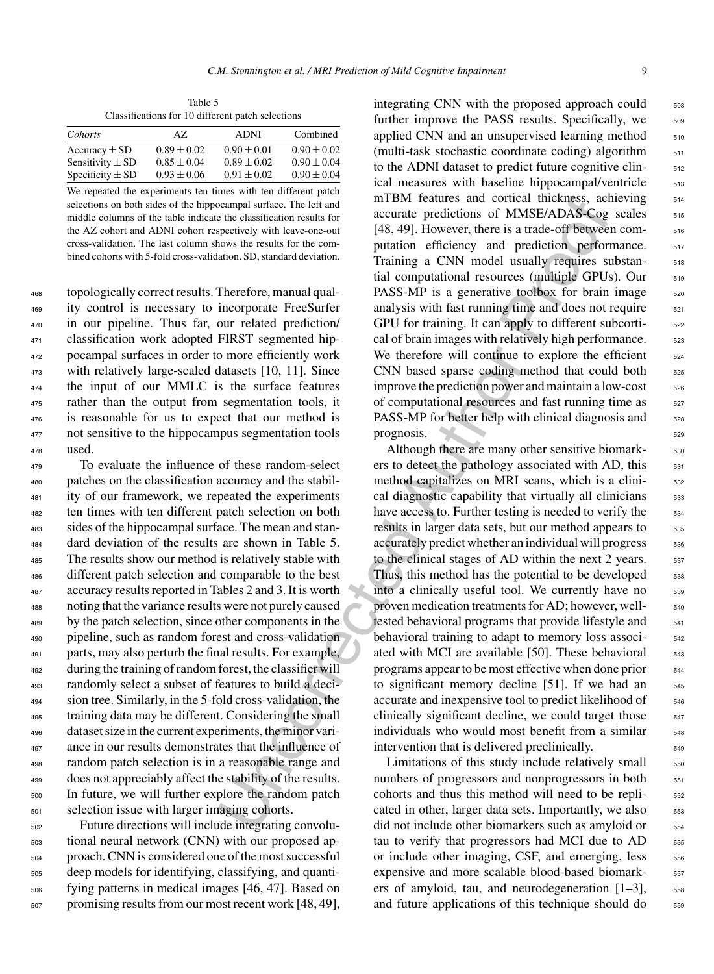Table 5 Classifications for 10 different patch selections

| Cohorts              | AZ.             | <b>ADNI</b>     | Combined        |
|----------------------|-----------------|-----------------|-----------------|
| Accuracy $\pm$ SD    | $0.89 \pm 0.02$ | $0.90 \pm 0.01$ | $0.90 \pm 0.02$ |
| Sensitivity $\pm$ SD | $0.85 \pm 0.04$ | $0.89 \pm 0.02$ | $0.90 \pm 0.04$ |
| Specificity $\pm$ SD | $0.93 \pm 0.06$ | $0.91 \pm 0.02$ | $0.90 \pm 0.04$ |
|                      |                 |                 |                 |

We repeated the experiments ten times with ten different patch selections on both sides of the hippocampal surface. The left and middle columns of the table indicate the classification results for the AZ cohort and ADNI cohort respectively with leave-one-out cross-validation. The last column shows the results for the combined cohorts with 5-fold cross-validation. SD, standard deviation.

 topologically correct results. Therefore, manual qual- ity control is necessary to incorporate FreeSurfer in our pipeline. Thus far, our related prediction/ classification work adopted FIRST segmented hip- pocampal surfaces in order to more efficiently work with relatively large-scaled datasets [10, 11]. Since the input of our MMLC is the surface features rather than the output from segmentation tools, it is reasonable for us to expect that our method is not sensitive to the hippocampus segmentation tools  $478$  used.

 To evaluate the influence of these random-select patches on the classification accuracy and the stabil- ity of our framework, we repeated the experiments ten times with ten different patch selection on both sides of the hippocampal surface. The mean and stan- dard deviation of the results are shown in Table 5. The results show our method is relatively stable with different patch selection and comparable to the best accuracy results reported in Tables 2 and 3. It is worth noting that the variance results were not purely caused by the patch selection, since other components in the pipeline, such as random forest and cross-validation parts, may also perturb the final results. For example, during the training of random forest, the classifier will randomly select a subset of features to build a deci- sion tree. Similarly, in the 5-fold cross-validation, the training data may be different. Considering the small dataset size in the current experiments, the minor vari- ance in our results demonstrates that the influence of random patch selection is in a reasonable range and does not appreciably affect the stability of the results. In future, we will further explore the random patch selection issue with larger imaging cohorts.

 Future directions will include integrating convolu- tional neural network (CNN) with our proposed ap- proach. CNN is considered one of the most successful deep models for identifying, classifying, and quanti- fying patterns in medical images [46, 47]. Based on promising results from our most recent work [48, 49], integrating CNN with the proposed approach could  $\frac{508}{208}$ further improve the PASS results. Specifically, we 509 applied CNN and an unsupervised learning method  $_{510}$ (multi-task stochastic coordinate coding) algorithm  $511$ to the ADNI dataset to predict future cognitive clinical measures with baseline hippocampal/ventricle 513 mTBM features and cortical thickness, achieving 514 accurate predictions of MMSE/ADAS-Cog scales 515 [48, 49]. However, there is a trade-off between computation efficiency and prediction performance. 517 Training a CNN model usually requires substan-<br>518 tial computational resources (multiple GPUs). Our 519 PASS-MP is a generative toolbox for brain image  $520$ analysis with fast running time and does not require  $521$ GPU for training. It can apply to different subcortical of brain images with relatively high performance.  $\frac{523}{2}$ We therefore will continue to explore the efficient <sub>524</sub> CNN based sparse coding method that could both 525 improve the prediction power and maintain a low-cost  $_{526}$ of computational resources and fast running time as  $527$ PASS-MP for better help with clinical diagnosis and 528 prognosis. 529

xample strings. The line in HBM teatures and octrical thickness, ach<br>
with lead to the interesting of the anti-form central reductions of MMSE/ADASCog<br>
pecturely with teace-one-out 148, 49). However, there is a trade-off Although there are many other sensitive biomark-<br><sub>530</sub> ers to detect the pathology associated with AD, this  $531$ method capitalizes on MRI scans, which is a clini-<br>  $532$ cal diagnostic capability that virtually all clinicians 533 have access to. Further testing is needed to verify the  $\frac{534}{2}$ results in larger data sets, but our method appears to  $\frac{535}{2}$ accurately predict whether an individual will progress  $536$ to the clinical stages of AD within the next 2 years.  $\frac{537}{2}$ Thus, this method has the potential to be developed 538 into a clinically useful tool. We currently have no 539 proven medication treatments for AD; however, welltested behavioral programs that provide lifestyle and  $541$ behavioral training to adapt to memory loss associ-<br><sub>542</sub> ated with MCI are available [50]. These behavioral 543 programs appear to be most effective when done prior  $544$ to significant memory decline  $[51]$ . If we had an  $_{545}$ accurate and inexpensive tool to predict likelihood of  $_{546}$ clinically significant decline, we could target those  $\frac{547}{2}$ individuals who would most benefit from a similar  $\frac{548}{2}$ intervention that is delivered preclinically.

Limitations of this study include relatively small  $_{550}$ numbers of progressors and nonprogressors in both  $_{551}$ cohorts and thus this method will need to be repli-<br>  $552$ cated in other, larger data sets. Importantly, we also  $\frac{553}{2}$ did not include other biomarkers such as amyloid or  $554$ tau to verify that progressors had MCI due to AD 555 or include other imaging, CSF, and emerging, less  $556$ expensive and more scalable blood-based biomark-  $557$ ers of amyloid, tau, and neurodegeneration  $[1-3]$ ,  $=$  558 and future applications of this technique should do  $\frac{559}{256}$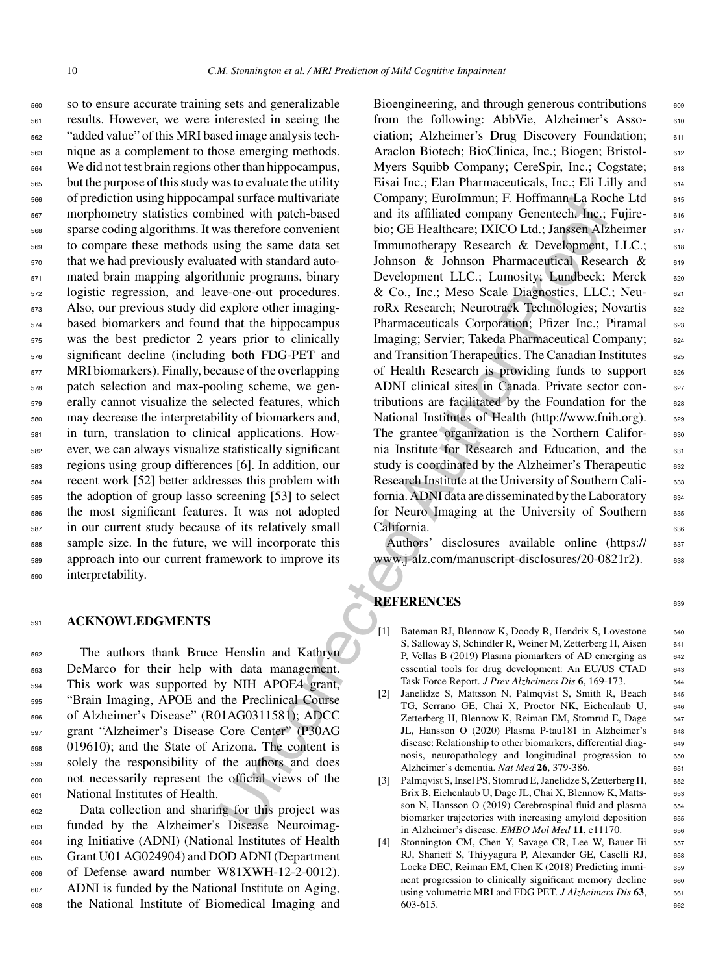so to ensure accurate training sets and generalizable results. However, we were interested in seeing the "added value" of this MRI based image analysis tech- nique as a complement to those emerging methods. We did not test brain regions other than hippocampus, but the purpose of this study was to evaluate the utility of prediction using hippocampal surface multivariate morphometry statistics combined with patch-based sparse coding algorithms. It was therefore convenient to compare these methods using the same data set that we had previously evaluated with standard auto- mated brain mapping algorithmic programs, binary logistic regression, and leave-one-out procedures. Also, our previous study did explore other imaging- based biomarkers and found that the hippocampus was the best predictor 2 years prior to clinically significant decline (including both FDG-PET and MRI biomarkers). Finally, because of the overlapping patch selection and max-pooling scheme, we gen- erally cannot visualize the selected features, which may decrease the interpretability of biomarkers and, in turn, translation to clinical applications. How- ever, we can always visualize statistically significant regions using group differences [6]. In addition, our recent work [52] better addresses this problem with the adoption of group lasso screening [53] to select the most significant features. It was not adopted in our current study because of its relatively small sample size. In the future, we will incorporate this approach into our current framework to improve its interpretability.

# <sup>591</sup> **ACKNOWLEDGMENTS**

 The authors thank Bruce Henslin and Kathryn DeMarco for their help with data management. This work was supported by NIH APOE4 grant, "Brain Imaging, APOE and the Preclinical Course of Alzheimer's Disease" (R01AG0311581); ADCC grant "Alzheimer's Disease Core Center" (P30AG 019610); and the State of Arizona. The content is solely the responsibility of the authors and does not necessarily represent the official views of the National Institutes of Health.

 Data collection and sharing for this project was funded by the Alzheimer's Disease Neuroimag- ing Initiative (ADNI) (National Institutes of Health Grant U01 AG024904) and DOD ADNI (Department of Defense award number W81XWH-12-2-0012). ADNI is funded by the National Institute on Aging, the National Institute of Biomedical Imaging and

and anti-mannel and the momentum in Februaring Company: Eurofinanting Revenues and the state more than the state of the energy is unique the state of the state of the state of the state of the state of the state of the sta Bioengineering, and through generous contributions 609 from the following: AbbVie, Alzheimer's Asso- 610 ciation; Alzheimer's Drug Discovery Foundation; 611 Araclon Biotech; BioClinica, Inc.; Biogen; Bristol- 612 Myers Squibb Company; CereSpir, Inc.; Cogstate; 613 Eisai Inc.; Elan Pharmaceuticals, Inc.; Eli Lilly and 614 Company; EuroImmun; F. Hoffmann-La Roche Ltd 615 and its affiliated company Genentech, Inc.; Fujirebio; GE Healthcare; IXICO Ltd.; Janssen Alzheimer 617 Immunotherapy Research & Development, LLC.; 618 Johnson & Johnson Pharmaceutical Research & 619 Development LLC.; Lumosity; Lundbeck; Merck 620 & Co., Inc.; Meso Scale Diagnostics, LLC.; Neu- 621 roRx Research; Neurotrack Technologies; Novartis 622 Pharmaceuticals Corporation; Pfizer Inc.; Piramal 623 Imaging; Servier; Takeda Pharmaceutical Company; <sup>624</sup> and Transition Therapeutics. The Canadian Institutes 625 of Health Research is providing funds to support 626 ADNI clinical sites in Canada. Private sector contributions are facilitated by the Foundation for the  $628$ National Institutes of Health [\(http://www.fnih.org](http://www.fnih.org)). 629 The grantee organization is the Northern Califor- 630 nia Institute for Research and Education, and the 631 study is coordinated by the Alzheimer's Therapeutic 632 Research Institute at the University of Southern Cali- 633 fornia. ADNI data are disseminated by the Laboratory <sup>634</sup> for Neuro Imaging at the University of Southern 635 California. 636

Authors' disclosures available online [\(https://](https://www.j-alz.com/manuscript-disclosures/20-0821r2) 637 www.j-alz.com/manuscript-disclosures/20-0821r2). 638

# **REFERENCES**

- [1] Bateman RJ, Blennow K, Doody R, Hendrix S, Lovestone 640 S, Salloway S, Schindler R, Weiner M, Zetterberg H, Aisen 641 P, Vellas B (2019) Plasma piomarkers of AD emerging as 642 essential tools for drug development: An EU/US CTAD 643 Task Force Report. *J Prev Alzheimers Dis* **6**, 169-173. <sup>644</sup>
- [2] Janelidze S, Mattsson N, Palmqvist S, Smith R, Beach 645 TG, Serrano GE, Chai X, Proctor NK, Eichenlaub U, <sup>646</sup> Zetterberg H, Blennow K, Reiman EM, Stomrud E, Dage 647 JL, Hansson O (2020) Plasma P-tau181 in Alzheimer's 648 disease: Relationship to other biomarkers, differential diag-<br>649 nosis, neuropathology and longitudinal progression to 650 Alzheimer's dementia. *Nat Med* **26**, 379-386. <sup>651</sup>
- [3] Palmqvist S, Insel PS, Stomrud E, Janelidze S, Zetterberg H, 652 Brix B, Eichenlaub U, Dage JL, Chai X, Blennow K, Matts- <sup>653</sup> son N, Hansson O (2019) Cerebrospinal fluid and plasma 654 biomarker trajectories with increasing amyloid deposition 655 in Alzheimer's disease. *EMBO Mol Med* **11**, e11170. <sup>656</sup>
- [4] Stonnington CM, Chen Y, Savage CR, Lee W, Bauer Iii 657 RJ, Sharieff S, Thiyyagura P, Alexander GE, Caselli RJ, 658 Locke DEC, Reiman EM, Chen K (2018) Predicting immi-<br>659 nent progression to clinically significant memory decline 660 using volumetric MRI and FDG PET. *J Alzheimers Dis* 63, 661 603-615. <sup>662</sup>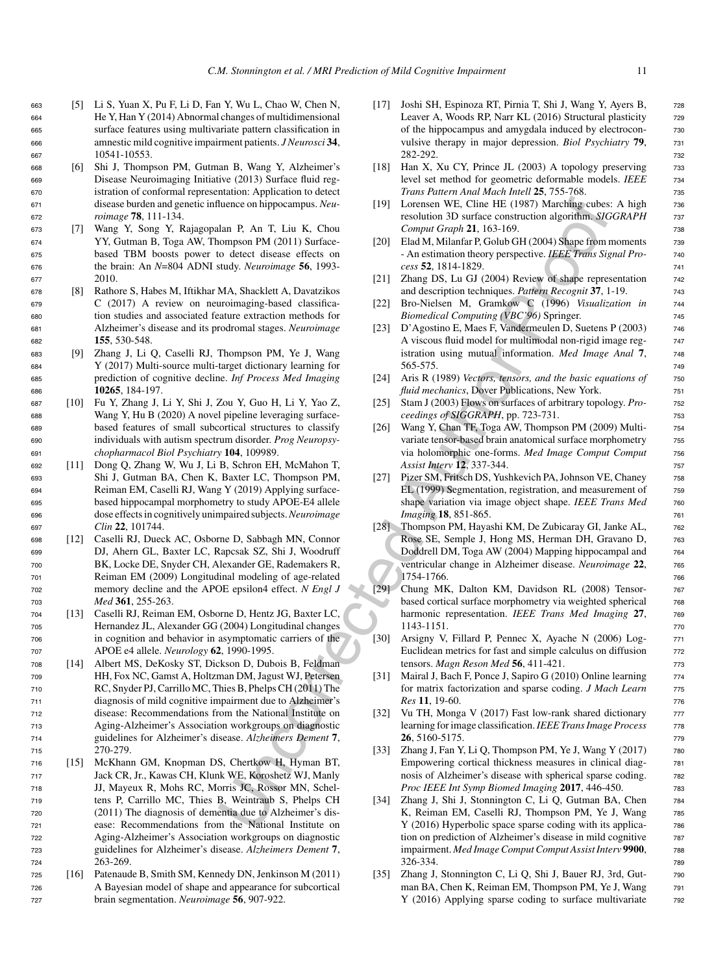- <sup>663</sup> [5] Li S, Yuan X, Pu F, Li D, Fan Y, Wu L, Chao W, Chen N, <sup>664</sup> He Y, Han Y (2014) Abnormal changes of multidimensional <sup>665</sup> surface features using multivariate pattern classification in <sup>666</sup> amnestic mild cognitive impairment patients. *J Neurosci* **34**, <sup>667</sup> 10541-10553.
- <sup>668</sup> [6] Shi J, Thompson PM, Gutman B, Wang Y, Alzheimer's <sup>669</sup> Disease Neuroimaging Initiative (2013) Surface fluid reg-<sup>670</sup> istration of conformal representation: Application to detect <sup>671</sup> disease burden and genetic influence on hippocampus. *Neu-*<sup>672</sup> *roimage* **78**, 111-134.
- <sup>673</sup> [7] Wang Y, Song Y, Rajagopalan P, An T, Liu K, Chou <sup>674</sup> YY, Gutman B, Toga AW, Thompson PM (2011) Surface-<sup>675</sup> based TBM boosts power to detect disease effects on <sup>676</sup> the brain: An *N*=804 ADNI study. *Neuroimage* **56**, 1993- <sup>677</sup> 2010.
- <sup>678</sup> [8] Rathore S, Habes M, Iftikhar MA, Shacklett A, Davatzikos <sup>679</sup> C (2017) A review on neuroimaging-based classifica-<sup>680</sup> tion studies and associated feature extraction methods for <sup>681</sup> Alzheimer's disease and its prodromal stages. *Neuroimage* <sup>682</sup> **155**, 530-548.
- <sup>683</sup> [9] Zhang J, Li Q, Caselli RJ, Thompson PM, Ye J, Wang <sup>684</sup> Y (2017) Multi-source multi-target dictionary learning for <sup>685</sup> prediction of cognitive decline. *Inf Process Med Imaging* <sup>686</sup> **10265**, 184-197.
- <sup>687</sup> [10] Fu Y, Zhang J, Li Y, Shi J, Zou Y, Guo H, Li Y, Yao Z, <sup>688</sup> Wang Y, Hu B (2020) A novel pipeline leveraging surface-<sup>689</sup> based features of small subcortical structures to classify <sup>690</sup> individuals with autism spectrum disorder. *Prog Neuropsy-*<sup>691</sup> *chopharmacol Biol Psychiatry* **104**, 109989.
- <sup>692</sup> [11] Dong Q, Zhang W, Wu J, Li B, Schron EH, McMahon T, <sup>693</sup> Shi J, Gutman BA, Chen K, Baxter LC, Thompson PM, <sup>694</sup> Reiman EM, Caselli RJ, Wang Y (2019) Applying surface-<sup>695</sup> based hippocampal morphometry to study APOE-E4 allele <sup>696</sup> dose effects in cognitively unimpaired subjects.*Neuroimage* <sup>697</sup> *Clin* **22**, 101744.
- <sup>698</sup> [12] Caselli RJ, Dueck AC, Osborne D, Sabbagh MN, Connor <sup>699</sup> DJ, Ahern GL, Baxter LC, Rapcsak SZ, Shi J, Woodruff <sup>700</sup> BK, Locke DE, Snyder CH, Alexander GE, Rademakers R, <sup>701</sup> Reiman EM (2009) Longitudinal modeling of age-related <sup>702</sup> memory decline and the APOE epsilon4 effect. *N Engl J* <sup>703</sup> *Med* **361**, 255-263.
- <sup>704</sup> [13] Caselli RJ, Reiman EM, Osborne D, Hentz JG, Baxter LC, <sup>705</sup> Hernandez JL, Alexander GG (2004) Longitudinal changes <sup>706</sup> in cognition and behavior in asymptomatic carriers of the <sup>707</sup> APOE e4 allele. *Neurology* **62**, 1990-1995.
- <sup>708</sup> [14] Albert MS, DeKosky ST, Dickson D, Dubois B, Feldman <sup>709</sup> HH, Fox NC, Gamst A, Holtzman DM, Jagust WJ, Petersen <sup>710</sup> RC, Snyder PJ, Carrillo MC, Thies B, Phelps CH (2011) The <sup>711</sup> diagnosis of mild cognitive impairment due to Alzheimer's <sup>712</sup> disease: Recommendations from the National Institute on <sup>713</sup> Aging-Alzheimer's Association workgroups on diagnostic <sup>714</sup> guidelines for Alzheimer's disease. *Alzheimers Dement* **7**, <sup>715</sup> 270-279.
- <sup>716</sup> [15] McKhann GM, Knopman DS, Chertkow H, Hyman BT, <sup>717</sup> Jack CR, Jr., Kawas CH, Klunk WE, Koroshetz WJ, Manly <sup>718</sup> JJ, Mayeux R, Mohs RC, Morris JC, Rossor MN, Schel-<sup>719</sup> tens P, Carrillo MC, Thies B, Weintraub S, Phelps CH <sup>720</sup> (2011) The diagnosis of dementia due to Alzheimer's dis-<sup>721</sup> ease: Recommendations from the National Institute on <sup>722</sup> Aging-Alzheimer's Association workgroups on diagnostic <sup>723</sup> guidelines for Alzheimer's disease. *Alzheimers Dement* **7**, <sup>724</sup> 263-269.
- <sup>725</sup> [16] Patenaude B, Smith SM, Kennedy DN, Jenkinson M (2011) <sup>726</sup> A Bayesian model of shape and appearance for subcortical <sup>727</sup> brain segmentation. *Neuroimage* **56**, 907-922.
- [17] Joshi SH, Espinoza RT, Pirnia T, Shi J, Wang Y, Ayers B, <sup>728</sup> Leaver A, Woods RP, Narr KL (2016) Structural plasticity  $\qquad$  729 of the hippocampus and amygdala induced by electrocon- <sup>730</sup> vulsive therapy in major depression. *Biol Psychiatry* **79**, <sup>731</sup> 282-292. <sup>732</sup>
- [18] Han X, Xu CY, Prince JL (2003) A topology preserving 733 level set method for geometric deformable models. *IEEE* 734 *Trans Pattern Anal Mach Intell* **25**, 755-768.
- [19] Lorensen WE, Cline HE (1987) Marching cubes: A high 736 resolution 3D surface construction algorithm. *SIGGRAPH* <sup>737</sup> *Comput Graph* **21**, 163-169. <sup>738</sup>
- [20] Elad M, Milanfar P, Golub GH (2004) Shape from moments 739 - An estimation theory perspective. *IEEE Trans Signal Pro-* <sup>740</sup> *cess* **52**, 1814-1829. <sup>741</sup>
- [21] Zhang DS, Lu GJ (2004) Review of shape representation  $\frac{742}{242}$ and description techniques. *Pattern Recognit* **37**, 1-19. <sup>743</sup>
- [22] Bro-Nielsen M, Gramkow C (1996) *Visualization in* <sup>744</sup> *Biomedical Computing (VBC'96)* Springer. <sup>745</sup>
- [23] D'Agostino E, Maes F, Vandermeulen D, Suetens P (2003) <sup>746</sup> A viscous fluid model for multimodal non-rigid image reg- <sup>747</sup> istration using mutual information. *Med Image Anal* 7, 748 565-575. <sup>749</sup>
- [24] Aris R (1989) *Vectors, tensors, and the basic equations of* <sup>750</sup> *fluid mechanics*, Dover Publications, New York. 751
- [25] Stam J (2003) Flows on surfaces of arbitrary topology. *Pro-* <sup>752</sup> *ceedings of SIGGRAPH*, pp. 723-731. 753
- [26] Wang Y, Chan TF, Toga AW, Thompson PM (2009) Multi- <sup>754</sup> variate tensor-based brain anatomical surface morphometry 755 via holomorphic one-forms. *Med Image Comput Comput* <sup>756</sup> *Assist Interv* **12**, 337-344. <sup>757</sup>
- [27] Pizer SM, Fritsch DS, Yushkevich PA, Johnson VE, Chaney 758 EL (1999) Segmentation, registration, and measurement of  $\qquad$  759 shape variation via image object shape. *IEEE Trans Med* 760 *Imaging* **18**, 851-865. 761
- duence on hippocampus. Neu-<br>
Uncorrected Wincorrection and Surface constrained and Author T, An in K, Chon II, I, Chon II, I, Chon II, I, Chon II, I, Chon II, An internal and the Authorization of the activation being the [28] Thompson PM, Hayashi KM, De Zubicaray GI, Janke AL, 762 Rose SE, Semple J, Hong MS, Herman DH, Gravano D, 763 Doddrell DM, Toga AW (2004) Mapping hippocampal and  $\frac{764}{64}$ ventricular change in Alzheimer disease. *Neuroimage* 22, 765 1754-1766. 766
	- [29] Chung MK, Dalton KM, Davidson RL (2008) Tensor- <sup>767</sup> based cortical surface morphometry via weighted spherical  $\frac{768}{60}$ harmonic representation. *IEEE Trans Med Imaging* 27, 769 1143-1151. <sup>770</sup>
	- [30] Arsigny V, Fillard P, Pennec X, Ayache N (2006) Log- <sup>771</sup> Euclidean metrics for fast and simple calculus on diffusion  $\frac{772}{272}$ tensors. *Magn Reson Med* **56**, 411-421. <sup>773</sup>
	- [31] Mairal J, Bach F, Ponce J, Sapiro G (2010) Online learning 774 for matrix factorization and sparse coding. *J Mach Learn* 775 *Res* **11**, 19-60. <sup>776</sup>
	- [32] Vu TH, Monga V (2017) Fast low-rank shared dictionary 777 learning for image classification. IEEE Trans Image Process 778 **26**, 5160-5175. <sup>779</sup>
	- [33] Zhang J, Fan Y, Li Q, Thompson PM, Ye J, Wang Y (2017) 780 Empowering cortical thickness measures in clinical diag- <sup>781</sup> nosis of Alzheimer's disease with spherical sparse coding. 782 *Proc IEEE Int Symp Biomed Imaging* 2017, 446-450. 783
	- [34] Zhang J, Shi J, Stonnington C, Li Q, Gutman BA, Chen 784 K, Reiman EM, Caselli RJ, Thompson PM, Ye J, Wang 785 Y (2016) Hyperbolic space sparse coding with its applica-<br>
	<sup>786</sup> tion on prediction of Alzheimer's disease in mild cognitive 787 impairment. *Med Image Comput Comput Assist Interv* **9900**, <sup>788</sup> 326-334. <sup>789</sup>
	- [35] Zhang J, Stonnington C, Li Q, Shi J, Bauer RJ, 3rd, Gutman BA, Chen K, Reiman EM, Thompson PM, Ye J, Wang 791 Y (2016) Applying sparse coding to surface multivariate  $\frac{792}{2}$